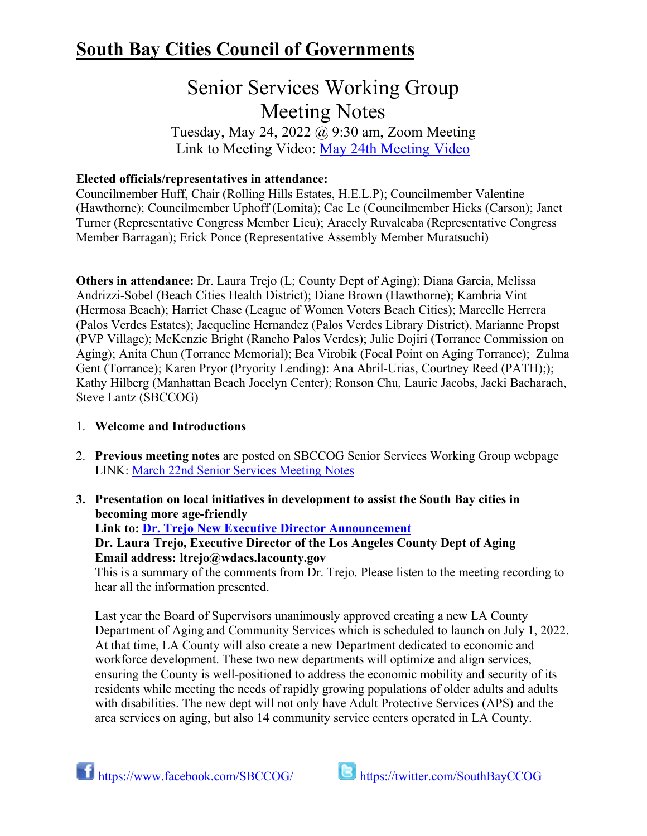## **South Bay Cities Council of Governments**

# Senior Services Working Group Meeting Notes

Tuesday, May 24, 2022 @ 9:30 am, Zoom Meeting Link to Meeting Video: [May 24th Meeting Video](https://www.youtube.com/watch?v=1DA5tls9voM)

## **Elected officials/representatives in attendance:**

Councilmember Huff, Chair (Rolling Hills Estates, H.E.L.P); Councilmember Valentine (Hawthorne); Councilmember Uphoff (Lomita); Cac Le (Councilmember Hicks (Carson); Janet Turner (Representative Congress Member Lieu); Aracely Ruvalcaba (Representative Congress Member Barragan); Erick Ponce (Representative Assembly Member Muratsuchi)

**Others in attendance:** Dr. Laura Trejo (L; County Dept of Aging); Diana Garcia, Melissa Andrizzi-Sobel (Beach Cities Health District); Diane Brown (Hawthorne); Kambria Vint (Hermosa Beach); Harriet Chase (League of Women Voters Beach Cities); Marcelle Herrera (Palos Verdes Estates); Jacqueline Hernandez (Palos Verdes Library District), Marianne Propst (PVP Village); McKenzie Bright (Rancho Palos Verdes); Julie Dojiri (Torrance Commission on Aging); Anita Chun (Torrance Memorial); Bea Virobik (Focal Point on Aging Torrance); Zulma Gent (Torrance); Karen Pryor (Pryority Lending): Ana Abril-Urias, Courtney Reed (PATH);); Kathy Hilberg (Manhattan Beach Jocelyn Center); Ronson Chu, Laurie Jacobs, Jacki Bacharach, Steve Lantz (SBCCOG)

## 1. **Welcome and Introductions**

- 2. **Previous meeting notes** are posted on SBCCOG Senior Services Working Group webpage LINK: [March 22nd Senior Services Meeting Notes](https://southbaycities.org/wp-content/uploads/2022/02/03.22.22-Senior-Services-meeting-notes-2.pdf)
- **3. Presentation on local initiatives in development to assist the South Bay cities in becoming more age-friendly**

**Link to: [Dr. Trejo New Executive Director Announcement](https://wdacs.lacounty.gov/la-county-announces-new-executive-director-of-aging-and-community-services/)**

**Dr. Laura Trejo, Executive Director of the Los Angeles County Dept of Aging Email address: ltrejo@wdacs.lacounty.gov**

This is a summary of the comments from Dr. Trejo. Please listen to the meeting recording to hear all the information presented.

Last year the Board of Supervisors unanimously approved creating a new LA County Department of Aging and Community Services which is scheduled to launch on July 1, 2022. At that time, LA County will also create a new Department dedicated to economic and workforce development. These two new departments will optimize and align services, ensuring the County is well-positioned to address the economic mobility and security of its residents while meeting the needs of rapidly growing populations of older adults and adults with disabilities. The new dept will not only have Adult Protective Services (APS) and the area services on aging, but also 14 community service centers operated in LA County.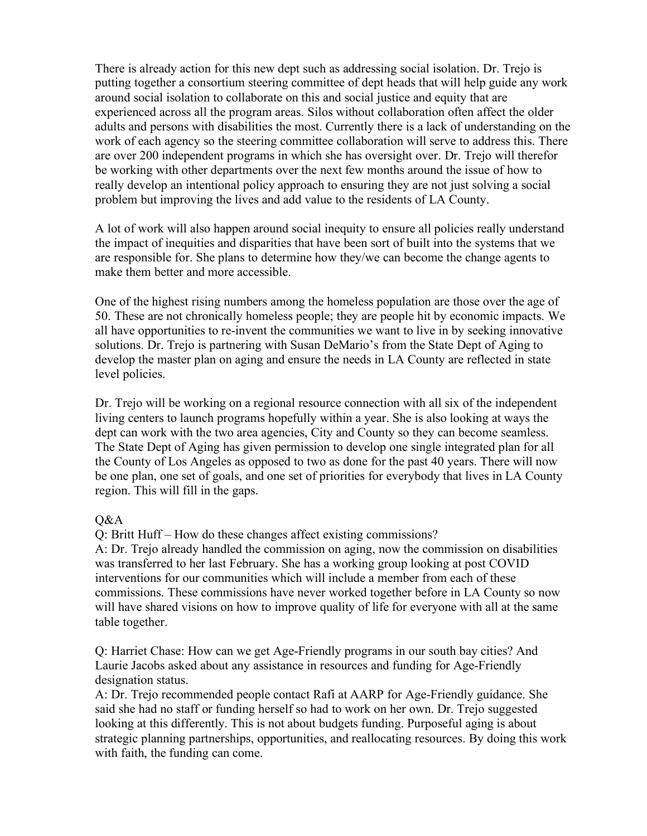There is already action for this new dept such as addressing social isolation. Dr. Trejo is putting together a consortium steering committee of dept heads that will help guide any work around social isolation to collaborate on this and social justice and equity that are experienced across all the program areas. Silos without collaboration often affect the older adults and persons with disabilities the most. Currently there is a lack of understanding on the work of each agency so the steering committee collaboration will serve to address this. There are over 200 independent programs in which she has oversight over. Dr. Trejo will therefor be working with other departments over the next few months around the issue of how to really develop an intentional policy approach to ensuring they are not just solving a social problem but improving the lives and add value to the residents of LA County.

A lot of work will also happen around social inequity to ensure all policies really understand the impact of inequities and disparities that have been sort of built into the systems that we are responsible for. She plans to determine how they/we can become the change agents to make them better and more accessible.

One of the highest rising numbers among the homeless population are those over the age of 50. These are not chronically homeless people; they are people hit by economic impacts. We all have opportunities to re-invent the communities we want to live in by seeking innovative solutions. Dr. Trejo is partnering with Susan DeMario's from the State Dept of Aging to develop the master plan on aging and ensure the needs in LA County are reflected in state level policies.

Dr. Trejo will be working on a regional resource connection with all six of the independent living centers to launch programs hopefully within a year. She is also looking at ways the dept can work with the two area agencies, City and County so they can become seamless. The State Dept of Aging has given permission to develop one single integrated plan for all the County of Los Angeles as opposed to two as done for the past 40 years. There will now be one plan, one set of goals, and one set of priorities for everybody that lives in LA County region. This will fill in the gaps.

## Q&A

Q: Britt Huff – How do these changes affect existing commissions?

A: Dr. Trejo already handled the commission on aging, now the commission on disabilities was transferred to her last February. She has a working group looking at post COVID interventions for our communities which will include a member from each of these commissions. These commissions have never worked together before in LA County so now will have shared visions on how to improve quality of life for everyone with all at the same table together.

Q: Harriet Chase: How can we get Age-Friendly programs in our south bay cities? And Laurie Jacobs asked about any assistance in resources and funding for Age-Friendly designation status.

A: Dr. Trejo recommended people contact Rafi at AARP for Age-Friendly guidance. She said she had no staff or funding herself so had to work on her own. Dr. Trejo suggested looking at this differently. This is not about budgets funding. Purposeful aging is about strategic planning partnerships, opportunities, and reallocating resources. By doing this work with faith, the funding can come.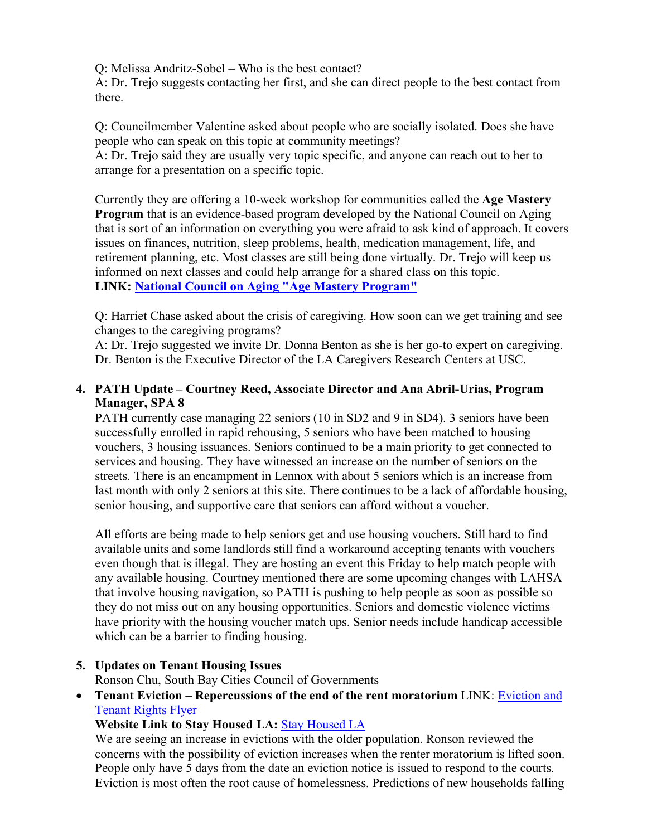Q: Melissa Andritz-Sobel – Who is the best contact?

A: Dr. Trejo suggests contacting her first, and she can direct people to the best contact from there.

Q: Councilmember Valentine asked about people who are socially isolated. Does she have people who can speak on this topic at community meetings?

A: Dr. Trejo said they are usually very topic specific, and anyone can reach out to her to arrange for a presentation on a specific topic.

Currently they are offering a 10-week workshop for communities called the **Age Mastery Program** that is an evidence-based program developed by the National Council on Aging that is sort of an information on everything you were afraid to ask kind of approach. It covers issues on finances, nutrition, sleep problems, health, medication management, life, and retirement planning, etc. Most classes are still being done virtually. Dr. Trejo will keep us informed on next classes and could help arrange for a shared class on this topic. **LINK: [National Council on Aging "Age Mastery Program"](https://www.ncoa.org/article/what-is-the-aging-mastery-program)**

Q: Harriet Chase asked about the crisis of caregiving. How soon can we get training and see changes to the caregiving programs?

A: Dr. Trejo suggested we invite Dr. Donna Benton as she is her go-to expert on caregiving. Dr. Benton is the Executive Director of the LA Caregivers Research Centers at USC.

## **4. PATH Update – Courtney Reed, Associate Director and Ana Abril-Urias, Program Manager, SPA 8**

PATH currently case managing 22 seniors (10 in SD2 and 9 in SD4). 3 seniors have been successfully enrolled in rapid rehousing, 5 seniors who have been matched to housing vouchers, 3 housing issuances. Seniors continued to be a main priority to get connected to services and housing. They have witnessed an increase on the number of seniors on the streets. There is an encampment in Lennox with about 5 seniors which is an increase from last month with only 2 seniors at this site. There continues to be a lack of affordable housing, senior housing, and supportive care that seniors can afford without a voucher.

All efforts are being made to help seniors get and use housing vouchers. Still hard to find available units and some landlords still find a workaround accepting tenants with vouchers even though that is illegal. They are hosting an event this Friday to help match people with any available housing. Courtney mentioned there are some upcoming changes with LAHSA that involve housing navigation, so PATH is pushing to help people as soon as possible so they do not miss out on any housing opportunities. Seniors and domestic violence victims have priority with the housing voucher match ups. Senior needs include handicap accessible which can be a barrier to finding housing.

## **5. Updates on Tenant Housing Issues**

Ronson Chu, South Bay Cities Council of Governments

• **Tenant Eviction – Repercussions of the end of the rent moratorium LINK: Eviction and** [Tenant Rights Flyer](https://southbaycities.org/wp-content/uploads/2021/11/EVICTION-and-TENANT-RIGHTS.Final_.pdf)

## **Website Link to Stay Housed LA:** [Stay Housed LA](https://www.stayhousedla.org/)

We are seeing an increase in evictions with the older population. Ronson reviewed the concerns with the possibility of eviction increases when the renter moratorium is lifted soon. People only have 5 days from the date an eviction notice is issued to respond to the courts. Eviction is most often the root cause of homelessness. Predictions of new households falling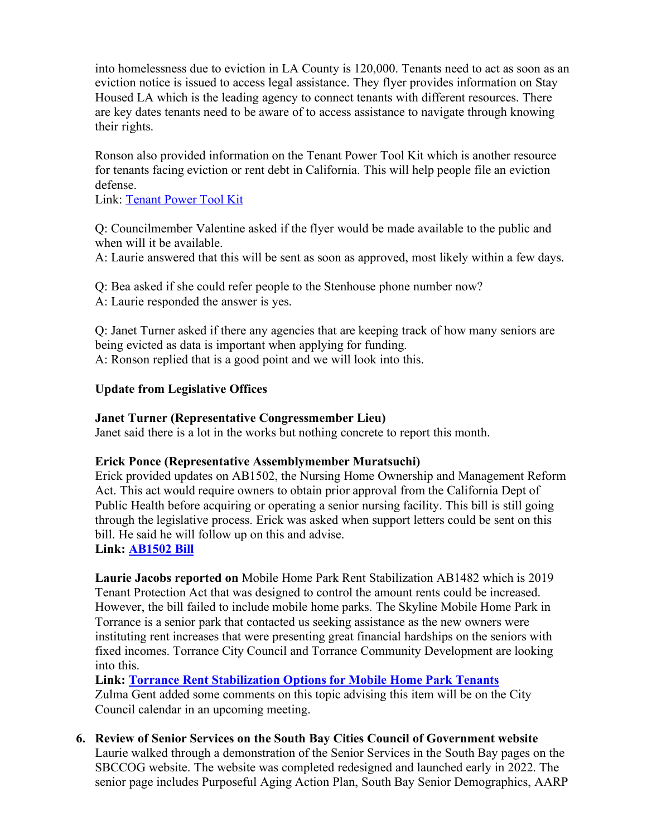into homelessness due to eviction in LA County is 120,000. Tenants need to act as soon as an eviction notice is issued to access legal assistance. They flyer provides information on Stay Housed LA which is the leading agency to connect tenants with different resources. There are key dates tenants need to be aware of to access assistance to navigate through knowing their rights.

Ronson also provided information on the Tenant Power Tool Kit which is another resource for tenants facing eviction or rent debt in California. This will help people file an eviction defense.

Link: [Tenant Power Tool Kit](https://tenantpowertoolkit.org/)

Q: Councilmember Valentine asked if the flyer would be made available to the public and when will it be available.

A: Laurie answered that this will be sent as soon as approved, most likely within a few days.

Q: Bea asked if she could refer people to the Stenhouse phone number now? A: Laurie responded the answer is yes.

Q: Janet Turner asked if there any agencies that are keeping track of how many seniors are being evicted as data is important when applying for funding. A: Ronson replied that is a good point and we will look into this.

## **Update from Legislative Offices**

#### **Janet Turner (Representative Congressmember Lieu)**

Janet said there is a lot in the works but nothing concrete to report this month.

## **Erick Ponce (Representative Assemblymember Muratsuchi)**

Erick provided updates on AB1502, the Nursing Home Ownership and Management Reform Act. This act would require owners to obtain prior approval from the California Dept of Public Health before acquiring or operating a senior nursing facility. This bill is still going through the legislative process. Erick was asked when support letters could be sent on this bill. He said he will follow up on this and advise.

**Link: [AB1502 Bill](https://openstates.org/ca/bills/20212022/AB1502/)**

**Laurie Jacobs reported on** Mobile Home Park Rent Stabilization AB1482 which is 2019 Tenant Protection Act that was designed to control the amount rents could be increased. However, the bill failed to include mobile home parks. The Skyline Mobile Home Park in Torrance is a senior park that contacted us seeking assistance as the new owners were instituting rent increases that were presenting great financial hardships on the seniors with fixed incomes. Torrance City Council and Torrance Community Development are looking into this.

**Link: [Torrance Rent Stabilization Options for Mobile Home Park Tenants](https://southbaycities.org/wp-content/uploads/2022/04/Torrance-Rent-Stabilization-Options-for-Mobile-Home-Park-Tenants.pdf)** Zulma Gent added some comments on this topic advising this item will be on the City Council calendar in an upcoming meeting.

**6. Review of Senior Services on the South Bay Cities Council of Government website** Laurie walked through a demonstration of the Senior Services in the South Bay pages on the SBCCOG website. The website was completed redesigned and launched early in 2022. The senior page includes Purposeful Aging Action Plan, South Bay Senior Demographics, AARP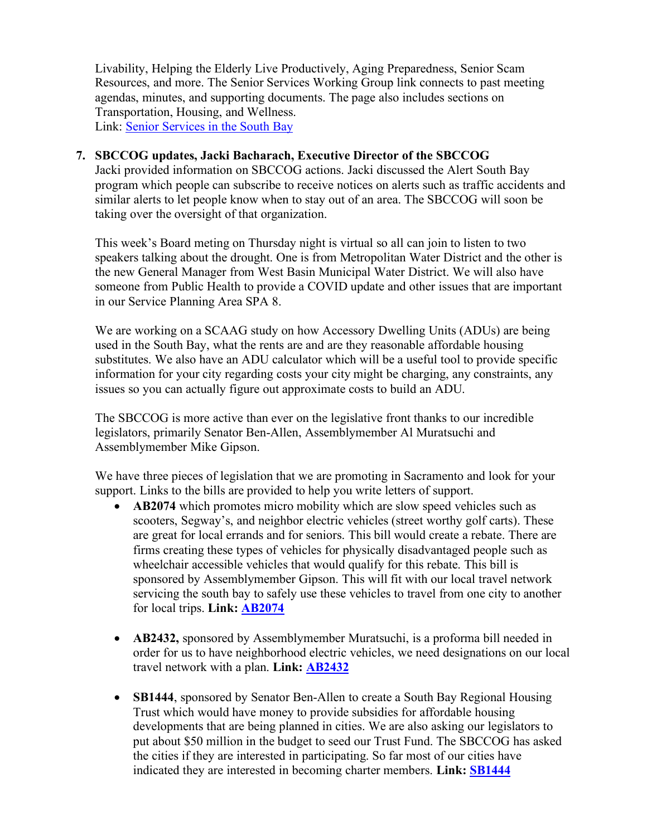Livability, Helping the Elderly Live Productively, Aging Preparedness, Senior Scam Resources, and more. The Senior Services Working Group link connects to past meeting agendas, minutes, and supporting documents. The page also includes sections on Transportation, Housing, and Wellness. Link: [Senior Services in the South Bay](https://southbaycities.org/programs/senior-services-in-the-south-bay/)

#### **7. SBCCOG updates, Jacki Bacharach, Executive Director of the SBCCOG**

Jacki provided information on SBCCOG actions. Jacki discussed the Alert South Bay program which people can subscribe to receive notices on alerts such as traffic accidents and similar alerts to let people know when to stay out of an area. The SBCCOG will soon be taking over the oversight of that organization.

This week's Board meting on Thursday night is virtual so all can join to listen to two speakers talking about the drought. One is from Metropolitan Water District and the other is the new General Manager from West Basin Municipal Water District. We will also have someone from Public Health to provide a COVID update and other issues that are important in our Service Planning Area SPA 8.

We are working on a SCAAG study on how Accessory Dwelling Units (ADUs) are being used in the South Bay, what the rents are and are they reasonable affordable housing substitutes. We also have an ADU calculator which will be a useful tool to provide specific information for your city regarding costs your city might be charging, any constraints, any issues so you can actually figure out approximate costs to build an ADU.

The SBCCOG is more active than ever on the legislative front thanks to our incredible legislators, primarily Senator Ben-Allen, Assemblymember Al Muratsuchi and Assemblymember Mike Gipson.

We have three pieces of legislation that we are promoting in Sacramento and look for your support. Links to the bills are provided to help you write letters of support.

- **AB2074** which promotes micro mobility which are slow speed vehicles such as scooters, Segway's, and neighbor electric vehicles (street worthy golf carts). These are great for local errands and for seniors. This bill would create a rebate. There are firms creating these types of vehicles for physically disadvantaged people such as wheelchair accessible vehicles that would qualify for this rebate. This bill is sponsored by Assemblymember Gipson. This will fit with our local travel network servicing the south bay to safely use these vehicles to travel from one city to another for local trips. **Link: [AB2074](https://openstates.org/ca/bills/20212022/AB2074/)**
- **AB2432**, sponsored by Assemblymember Muratsuchi, is a proforma bill needed in order for us to have neighborhood electric vehicles, we need designations on our local travel network with a plan. **Link: [AB2432](https://leginfo.legislature.ca.gov/faces/billTextClient.xhtml?bill_id=201920200AB2432)**
- **SB1444**, sponsored by Senator Ben-Allen to create a South Bay Regional Housing Trust which would have money to provide subsidies for affordable housing developments that are being planned in cities. We are also asking our legislators to put about \$50 million in the budget to seed our Trust Fund. The SBCCOG has asked the cities if they are interested in participating. So far most of our cities have indicated they are interested in becoming charter members. **Link: [SB1444](https://trackbill.com/bill/california-senate-bill-1444-joint-powers-authorities-south-bay-regional-housing-trust/2231431/)**